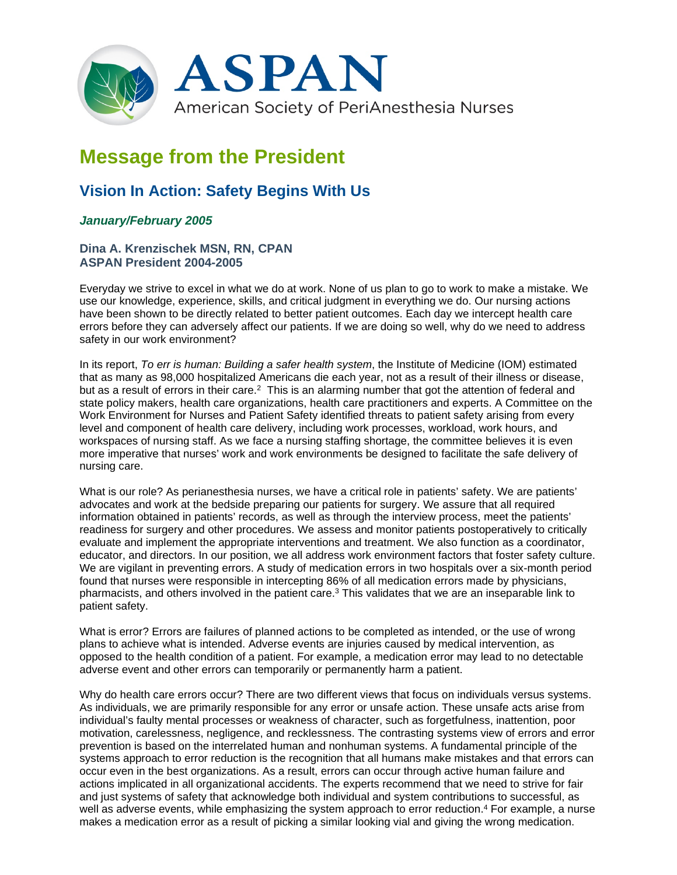

# **Message from the President**

## **Vision In Action: Safety Begins With Us**

### *January/February 2005*

#### **Dina A. Krenzischek MSN, RN, CPAN ASPAN President 2004-2005**

Everyday we strive to excel in what we do at work. None of us plan to go to work to make a mistake. We use our knowledge, experience, skills, and critical judgment in everything we do. Our nursing actions have been shown to be directly related to better patient outcomes. Each day we intercept health care errors before they can adversely affect our patients. If we are doing so well, why do we need to address safety in our work environment?

In its report, *To err is human: Building a safer health system*, the Institute of Medicine (IOM) estimated that as many as 98,000 hospitalized Americans die each year, not as a result of their illness or disease, but as a result of errors in their care.<sup>2</sup> This is an alarming number that got the attention of federal and state policy makers, health care organizations, health care practitioners and experts. A Committee on the Work Environment for Nurses and Patient Safety identified threats to patient safety arising from every level and component of health care delivery, including work processes, workload, work hours, and workspaces of nursing staff. As we face a nursing staffing shortage, the committee believes it is even more imperative that nurses' work and work environments be designed to facilitate the safe delivery of nursing care.

What is our role? As perianesthesia nurses, we have a critical role in patients' safety. We are patients' advocates and work at the bedside preparing our patients for surgery. We assure that all required information obtained in patients' records, as well as through the interview process, meet the patients' readiness for surgery and other procedures. We assess and monitor patients postoperatively to critically evaluate and implement the appropriate interventions and treatment. We also function as a coordinator, educator, and directors. In our position, we all address work environment factors that foster safety culture. We are vigilant in preventing errors. A study of medication errors in two hospitals over a six-month period found that nurses were responsible in intercepting 86% of all medication errors made by physicians, pharmacists, and others involved in the patient care.<sup>3</sup> This validates that we are an inseparable link to patient safety.

What is error? Errors are failures of planned actions to be completed as intended, or the use of wrong plans to achieve what is intended. Adverse events are injuries caused by medical intervention, as opposed to the health condition of a patient. For example, a medication error may lead to no detectable adverse event and other errors can temporarily or permanently harm a patient.

Why do health care errors occur? There are two different views that focus on individuals versus systems. As individuals, we are primarily responsible for any error or unsafe action. These unsafe acts arise from individual's faulty mental processes or weakness of character, such as forgetfulness, inattention, poor motivation, carelessness, negligence, and recklessness. The contrasting systems view of errors and error prevention is based on the interrelated human and nonhuman systems. A fundamental principle of the systems approach to error reduction is the recognition that all humans make mistakes and that errors can occur even in the best organizations. As a result, errors can occur through active human failure and actions implicated in all organizational accidents. The experts recommend that we need to strive for fair and just systems of safety that acknowledge both individual and system contributions to successful, as well as adverse events, while emphasizing the system approach to error reduction. <sup>4</sup> For example, a nurse makes a medication error as a result of picking a similar looking vial and giving the wrong medication.